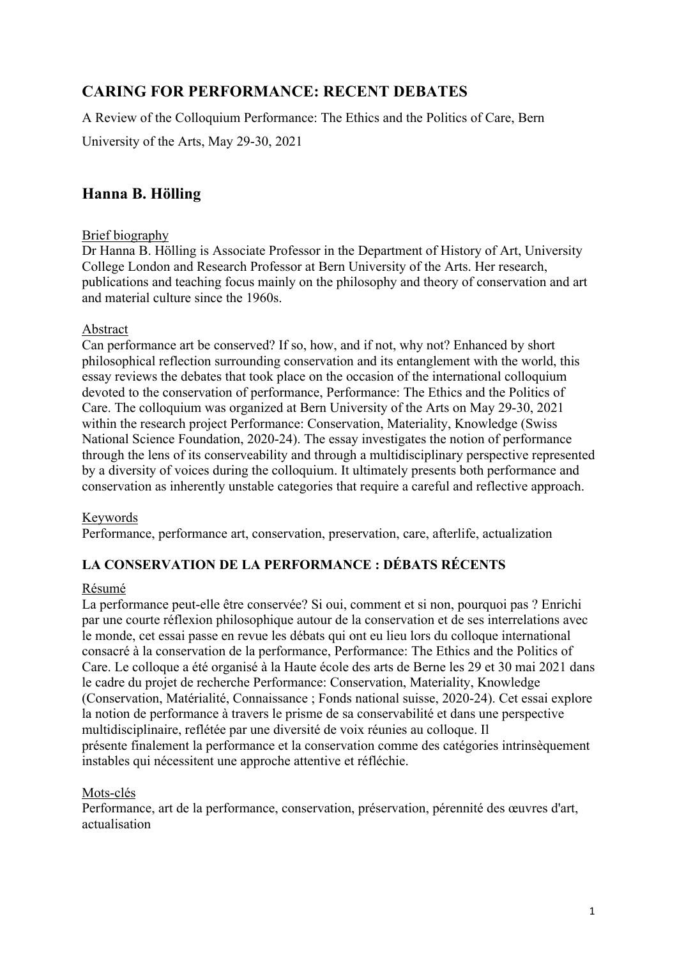# **CARING FOR PERFORMANCE: RECENT DEBATES**

A Review of the Colloquium Performance: The Ethics and the Politics of Care, Bern

University of the Arts, May 29-30, 2021

# **Hanna B. Hölling**

### Brief biography

Dr Hanna B. Hölling is Associate Professor in the Department of History of Art, University College London and Research Professor at Bern University of the Arts. Her research, publications and teaching focus mainly on the philosophy and theory of conservation and art and material culture since the 1960s.

### Abstract

Can performance art be conserved? If so, how, and if not, why not? Enhanced by short philosophical reflection surrounding conservation and its entanglement with the world, this essay reviews the debates that took place on the occasion of the international colloquium devoted to the conservation of performance, Performance: The Ethics and the Politics of Care. The colloquium was organized at Bern University of the Arts on May 29-30, 2021 within the research project Performance: Conservation, Materiality, Knowledge (Swiss National Science Foundation, 2020-24). The essay investigates the notion of performance through the lens of its conserveability and through a multidisciplinary perspective represented by a diversity of voices during the colloquium. It ultimately presents both performance and conservation as inherently unstable categories that require a careful and reflective approach.

## Keywords

Performance, performance art, conservation, preservation, care, afterlife, actualization

# **LA CONSERVATION DE LA PERFORMANCE : DÉBATS RÉCENTS**

### Résumé

La performance peut-elle être conservée? Si oui, comment et si non, pourquoi pas ? Enrichi par une courte réflexion philosophique autour de la conservation et de ses interrelations avec le monde, cet essai passe en revue les débats qui ont eu lieu lors du colloque international consacré à la conservation de la performance, Performance: The Ethics and the Politics of Care. Le colloque a été organisé à la Haute école des arts de Berne les 29 et 30 mai 2021 dans le cadre du projet de recherche Performance: Conservation, Materiality, Knowledge (Conservation, Matérialité, Connaissance ; Fonds national suisse, 2020-24). Cet essai explore la notion de performance à travers le prisme de sa conservabilité et dans une perspective multidisciplinaire, reflétée par une diversité de voix réunies au colloque. Il présente finalement la performance et la conservation comme des catégories intrinsèquement instables qui nécessitent une approche attentive et réfléchie.

### Mots-clés

Performance, art de la performance, conservation, préservation, pérennité des œuvres d'art, actualisation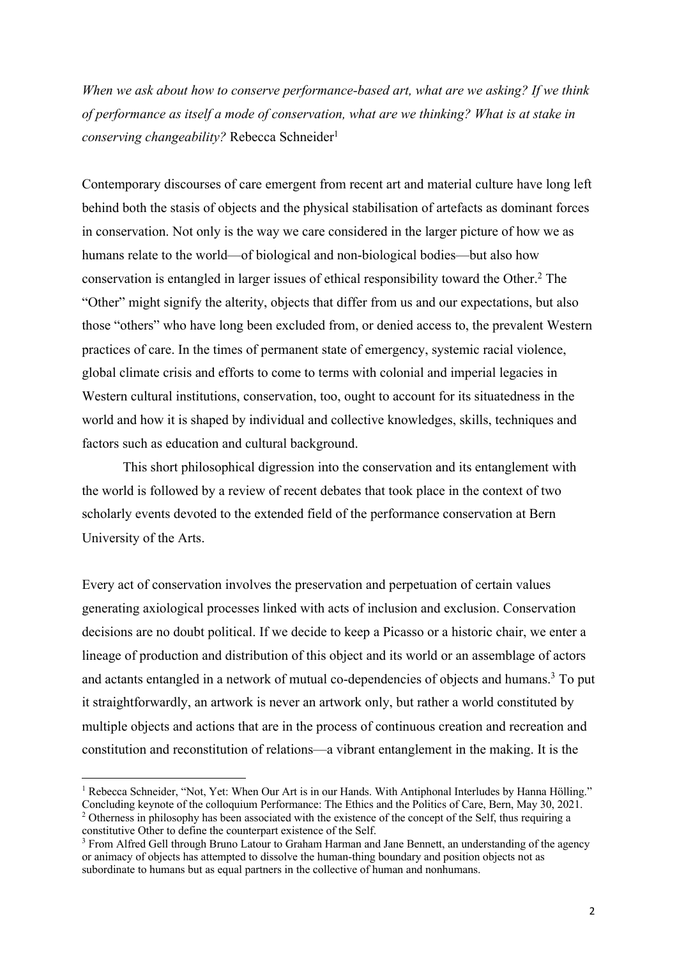*When we ask about how to conserve performance-based art, what are we asking? If we think of performance as itself a mode of conservation, what are we thinking? What is at stake in conserving changeability?* Rebecca Schneider<sup>1</sup>

Contemporary discourses of care emergent from recent art and material culture have long left behind both the stasis of objects and the physical stabilisation of artefacts as dominant forces in conservation. Not only is the way we care considered in the larger picture of how we as humans relate to the world—of biological and non-biological bodies—but also how conservation is entangled in larger issues of ethical responsibility toward the Other. <sup>2</sup> The "Other" might signify the alterity, objects that differ from us and our expectations, but also those "others" who have long been excluded from, or denied access to, the prevalent Western practices of care. In the times of permanent state of emergency, systemic racial violence, global climate crisis and efforts to come to terms with colonial and imperial legacies in Western cultural institutions, conservation, too, ought to account for its situatedness in the world and how it is shaped by individual and collective knowledges, skills, techniques and factors such as education and cultural background.

This short philosophical digression into the conservation and its entanglement with the world is followed by a review of recent debates that took place in the context of two scholarly events devoted to the extended field of the performance conservation at Bern University of the Arts.

Every act of conservation involves the preservation and perpetuation of certain values generating axiological processes linked with acts of inclusion and exclusion. Conservation decisions are no doubt political. If we decide to keep a Picasso or a historic chair, we enter a lineage of production and distribution of this object and its world or an assemblage of actors and actants entangled in a network of mutual co-dependencies of objects and humans. <sup>3</sup> To put it straightforwardly, an artwork is never an artwork only, but rather a world constituted by multiple objects and actions that are in the process of continuous creation and recreation and constitution and reconstitution of relations—a vibrant entanglement in the making. It is the

<sup>&</sup>lt;sup>1</sup> Rebecca Schneider, "Not, Yet: When Our Art is in our Hands. With Antiphonal Interludes by Hanna Hölling."<br>Concluding keynote of the colloquium Performance: The Ethics and the Politics of Care. Bern, May 30, 2021. <sup>2</sup> Otherness in philosophy has been associated with the existence of the concept of the Self, thus requiring a constitutive Other to define the counterpart existence of the Self.

<sup>3</sup> From Alfred Gell through Bruno Latour to Graham Harman and Jane Bennett, an understanding of the agency or animacy of objects has attempted to dissolve the human-thing boundary and position objects not as subordinate to humans but as equal partners in the collective of human and nonhumans.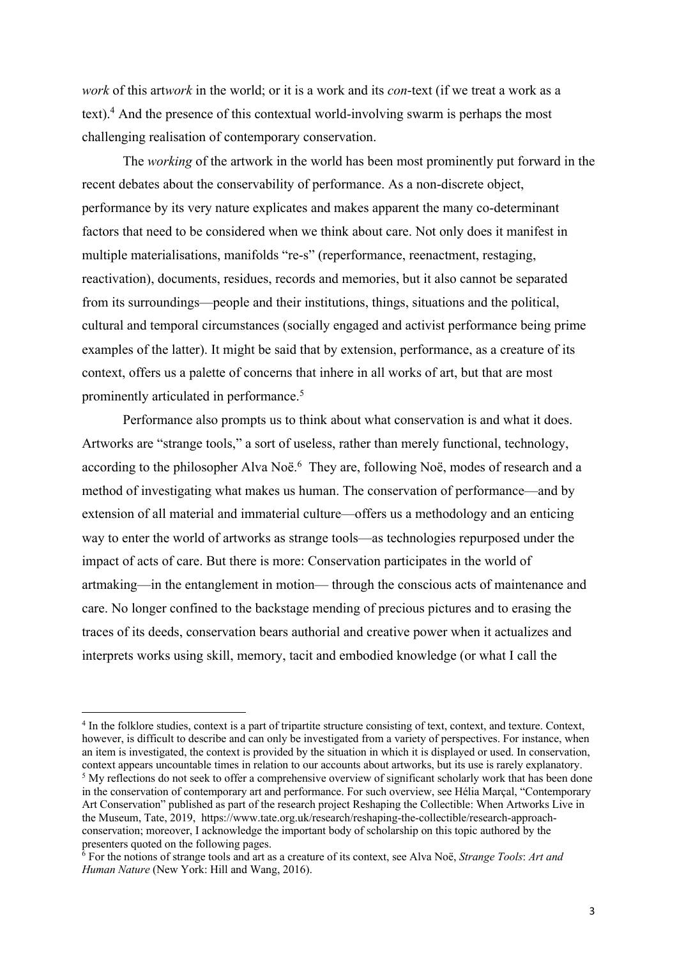*work* of this art*work* in the world; or it is a work and its *con*-text (if we treat a work as a text).4 And the presence of this contextual world-involving swarm is perhaps the most challenging realisation of contemporary conservation.

The *working* of the artwork in the world has been most prominently put forward in the recent debates about the conservability of performance. As a non-discrete object, performance by its very nature explicates and makes apparent the many co-determinant factors that need to be considered when we think about care. Not only does it manifest in multiple materialisations, manifolds "re-s" (reperformance, reenactment, restaging, reactivation), documents, residues, records and memories, but it also cannot be separated from its surroundings—people and their institutions, things, situations and the political, cultural and temporal circumstances (socially engaged and activist performance being prime examples of the latter). It might be said that by extension, performance, as a creature of its context, offers us a palette of concerns that inhere in all works of art, but that are most prominently articulated in performance.<sup>5</sup>

Performance also prompts us to think about what conservation is and what it does. Artworks are "strange tools," a sort of useless, rather than merely functional, technology, according to the philosopher Alva Noë.<sup>6</sup> They are, following Noë, modes of research and a method of investigating what makes us human. The conservation of performance—and by extension of all material and immaterial culture—offers us a methodology and an enticing way to enter the world of artworks as strange tools—as technologies repurposed under the impact of acts of care. But there is more: Conservation participates in the world of artmaking—in the entanglement in motion— through the conscious acts of maintenance and care. No longer confined to the backstage mending of precious pictures and to erasing the traces of its deeds, conservation bears authorial and creative power when it actualizes and interprets works using skill, memory, tacit and embodied knowledge (or what I call the

<sup>4</sup> In the folklore studies, context is a part of tripartite structure consisting of text, context, and texture. Context, however, is difficult to describe and can only be investigated from a variety of perspectives. For instance, when an item is investigated, the context is provided by the situation in which it is displayed or used. In conservation, context appears uncountable times in relation to our accounts about artworks, but its use is rarely explanatory.

<sup>&</sup>lt;sup>5</sup> My reflections do not seek to offer a comprehensive overview of significant scholarly work that has been done in the conservation of contemporary art and performance. For such overview, see Hélia Marçal, "Contemporary Art Conservation" published as part of the research project Reshaping the Collectible: When Artworks Live in the Museum, Tate, 2019, https://www.tate.org.uk/research/reshaping-the-collectible/research-approachconservation; moreover, I acknowledge the important body of scholarship on this topic authored by the presenters quoted on the following pages.

<sup>6</sup> For the notions of strange tools and art as a creature of its context, see Alva Noë, *Strange Tools*: *Art and Human Nature* (New York: Hill and Wang, 2016).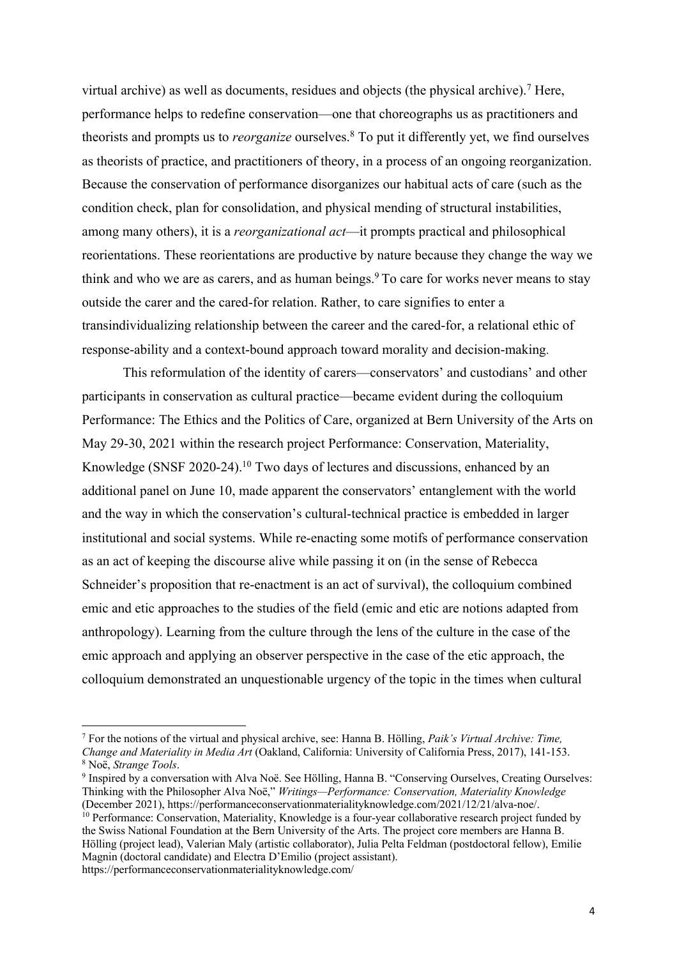virtual archive) as well as documents, residues and objects (the physical archive).<sup>7</sup> Here, performance helps to redefine conservation—one that choreographs us as practitioners and theorists and prompts us to *reorganize* ourselves.8 To put it differently yet, we find ourselves as theorists of practice, and practitioners of theory, in a process of an ongoing reorganization. Because the conservation of performance disorganizes our habitual acts of care (such as the condition check, plan for consolidation, and physical mending of structural instabilities, among many others), it is a *reorganizational act*—it prompts practical and philosophical reorientations. These reorientations are productive by nature because they change the way we think and who we are as carers, and as human beings. <sup>9</sup> To care for works never means to stay outside the carer and the cared-for relation. Rather, to care signifies to enter a transindividualizing relationship between the career and the cared-for, a relational ethic of response-ability and a context-bound approach toward morality and decision-making.

This reformulation of the identity of carers—conservators' and custodians' and other participants in conservation as cultural practice—became evident during the colloquium Performance: The Ethics and the Politics of Care, organized at Bern University of the Arts on May 29-30, 2021 within the research project Performance: Conservation, Materiality, Knowledge (SNSF 2020-24). <sup>10</sup> Two days of lectures and discussions, enhanced by an additional panel on June 10, made apparent the conservators' entanglement with the world and the way in which the conservation's cultural-technical practice is embedded in larger institutional and social systems. While re-enacting some motifs of performance conservation as an act of keeping the discourse alive while passing it on (in the sense of Rebecca Schneider's proposition that re-enactment is an act of survival), the colloquium combined emic and etic approaches to the studies of the field (emic and etic are notions adapted from anthropology). Learning from the culture through the lens of the culture in the case of the emic approach and applying an observer perspective in the case of the etic approach, the colloquium demonstrated an unquestionable urgency of the topic in the times when cultural

<sup>7</sup> For the notions of the virtual and physical archive, see: Hanna B. Hölling, *Paik's Virtual Archive: Time, Change and Materiality in Media Art* (Oakland, California: University of California Press, 2017), 141-153.

<sup>&</sup>lt;sup>9</sup> Inspired by a conversation with Alva Noë. See Hölling, Hanna B. "Conserving Ourselves, Creating Ourselves: Thinking with the Philosopher Alva Noë," *Writings—Performance: Conservation, Materiality Knowledge* (December 2021), https://performanceconservationmaterialityknowledge.com/2021/12/21/alva-noe/.

<sup>&</sup>lt;sup>10</sup> Performance: Conservation, Materiality, Knowledge is a four-year collaborative research project funded by the Swiss National Foundation at the Bern University of the Arts. The project core members are Hanna B. Hölling (project lead), Valerian Maly (artistic collaborator), Julia Pelta Feldman (postdoctoral fellow), Emilie Magnin (doctoral candidate) and Electra D'Emilio (project assistant). https://performanceconservationmaterialityknowledge.com/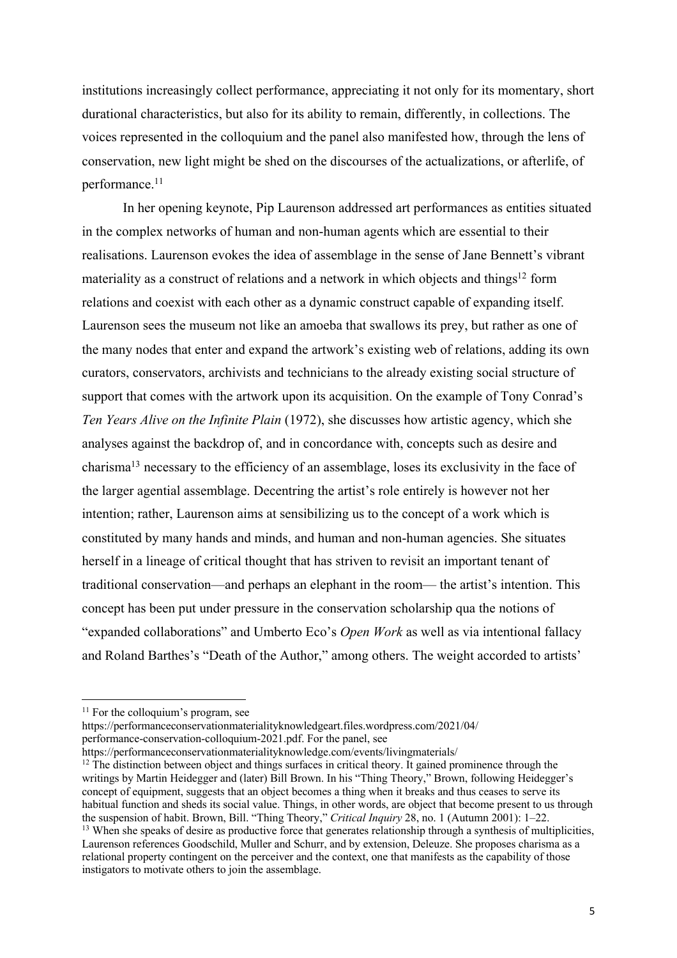institutions increasingly collect performance, appreciating it not only for its momentary, short durational characteristics, but also for its ability to remain, differently, in collections. The voices represented in the colloquium and the panel also manifested how, through the lens of conservation, new light might be shed on the discourses of the actualizations, or afterlife, of performance. 11

In her opening keynote, Pip Laurenson addressed art performances as entities situated in the complex networks of human and non-human agents which are essential to their realisations. Laurenson evokes the idea of assemblage in the sense of Jane Bennett's vibrant materiality as a construct of relations and a network in which objects and things<sup>12</sup> form relations and coexist with each other as a dynamic construct capable of expanding itself. Laurenson sees the museum not like an amoeba that swallows its prey, but rather as one of the many nodes that enter and expand the artwork's existing web of relations, adding its own curators, conservators, archivists and technicians to the already existing social structure of support that comes with the artwork upon its acquisition. On the example of Tony Conrad's *Ten Years Alive on the Infinite Plain* (1972), she discusses how artistic agency, which she analyses against the backdrop of, and in concordance with, concepts such as desire and charisma13 necessary to the efficiency of an assemblage, loses its exclusivity in the face of the larger agential assemblage. Decentring the artist's role entirely is however not her intention; rather, Laurenson aims at sensibilizing us to the concept of a work which is constituted by many hands and minds, and human and non-human agencies. She situates herself in a lineage of critical thought that has striven to revisit an important tenant of traditional conservation—and perhaps an elephant in the room— the artist's intention. This concept has been put under pressure in the conservation scholarship qua the notions of "expanded collaborations" and Umberto Eco's *Open Work* as well as via intentional fallacy and Roland Barthes's "Death of the Author," among others. The weight accorded to artists'

https://performanceconservationmaterialityknowledge.com/events/livingmaterials/

 $11$  For the colloquium's program, see

https://performanceconservationmaterialityknowledgeart.files.wordpress.com/2021/04/ performance-conservation-colloquium-2021.pdf. For the panel, see

 $12$  The distinction between object and things surfaces in critical theory. It gained prominence through the writings by Martin Heidegger and (later) Bill Brown. In his "Thing Theory," Brown, following Heidegger's concept of equipment, suggests that an object becomes a thing when it breaks and thus ceases to serve its habitual function and sheds its social value. Things, in other words, are object that become present to us through the suspension of habit. Brown, Bill. "Thing Theory," *Critical Inquiry* 28, no. 1 (Autumn 2001): 1–22. <sup>13</sup> When she speaks of desire as productive force that generates relationship through a synthesis of multiplicities,

Laurenson references Goodschild, Muller and Schurr, and by extension, Deleuze. She proposes charisma as a relational property contingent on the perceiver and the context, one that manifests as the capability of those instigators to motivate others to join the assemblage.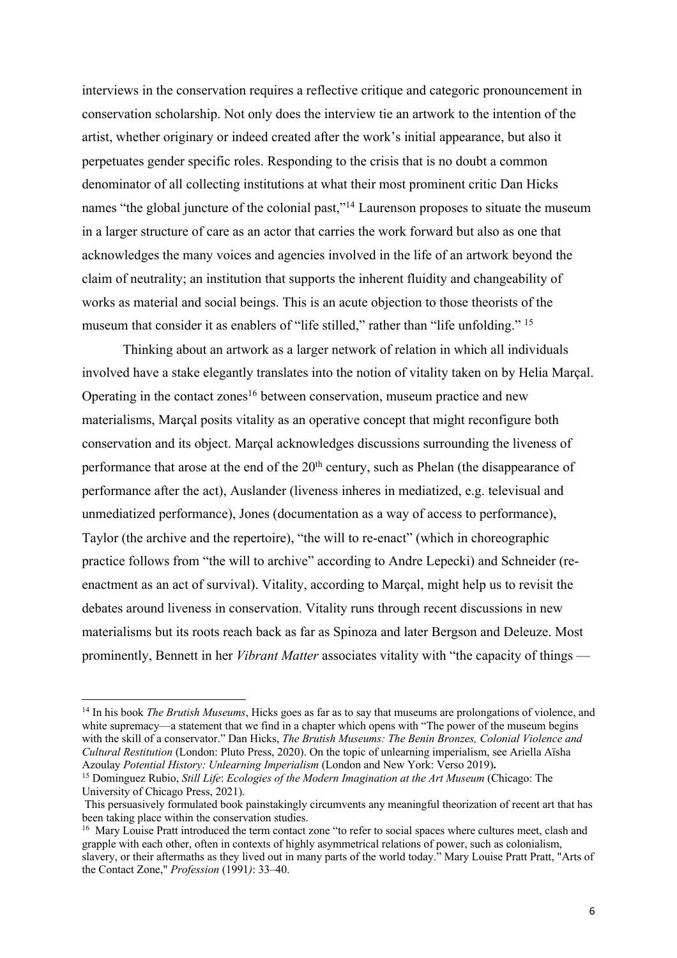interviews in the conservation requires a reflective critique and categoric pronouncement in conservation scholarship. Not only does the interview tie an artwork to the intention of the artist, whether originary or indeed created after the work's initial appearance, but also it perpetuates gender specific roles. Responding to the crisis that is no doubt a common denominator of all collecting institutions at what their most prominent critic Dan Hicks names "the global juncture of the colonial past,"<sup>14</sup> Laurenson proposes to situate the museum in a larger structure of care as an actor that carries the work forward but also as one that acknowledges the many voices and agencies involved in the life of an artwork beyond the claim of neutrality; an institution that supports the inherent fluidity and changeability of works as material and social beings. This is an acute objection to those theorists of the museum that consider it as enablers of "life stilled," rather than "life unfolding." <sup>15</sup>

Thinking about an artwork as a larger network of relation in which all individuals involved have a stake elegantly translates into the notion of vitality taken on by Helia Marçal. Operating in the contact zones<sup>16</sup> between conservation, museum practice and new materialisms, Marçal posits vitality as an operative concept that might reconfigure both conservation and its object. Marçal acknowledges discussions surrounding the liveness of performance that arose at the end of the  $20<sup>th</sup>$  century, such as Phelan (the disappearance of performance after the act), Auslander (liveness inheres in mediatized, e.g. televisual and unmediatized performance), Jones (documentation as a way of access to performance), Taylor (the archive and the repertoire), "the will to re-enact" (which in choreographic practice follows from "the will to archive" according to Andre Lepecki) and Schneider (reenactment as an act of survival). Vitality, according to Marçal, might help us to revisit the debates around liveness in conservation. Vitality runs through recent discussions in new materialisms but its roots reach back as far as Spinoza and later Bergson and Deleuze. Most prominently, Bennett in her *Vibrant Matter* associates vitality with "the capacity of things —

<sup>14</sup> In his book *The Brutish Museums*, Hicks goes as far as to say that museums are prolongations of violence, and white supremacy—a statement that we find in a chapter which opens with "The power of the museum begins" with the skill of a conservator." Dan Hicks, *The Brutish Museums: The Benin Bronzes, Colonial Violence and Cultural Restitution* (London: Pluto Press, 2020). On the topic of unlearning imperialism, see Ariella Aïsha Azoulay *Potential History: Unlearning Imperialism* (London and New York: Verso 2019)**.** 

<sup>15</sup> Dominguez Rubio, *Still Life*: *Ecologies of the Modern Imagination at the Art Museum* (Chicago: The University of Chicago Press, 2021).

This persuasively formulated book painstakingly circumvents any meaningful theorization of recent art that has been taking place within the conservation studies.<br><sup>16</sup> Mary Louise Pratt introduced the term contact zone "to refer to social spaces where cultures meet, clash and

grapple with each other, often in contexts of highly asymmetrical relations of power, such as colonialism, slavery, or their aftermaths as they lived out in many parts of the world today." Mary Louise Pratt Pratt, "Arts of the Contact Zone," *Profession* (1991*)*: 33–40.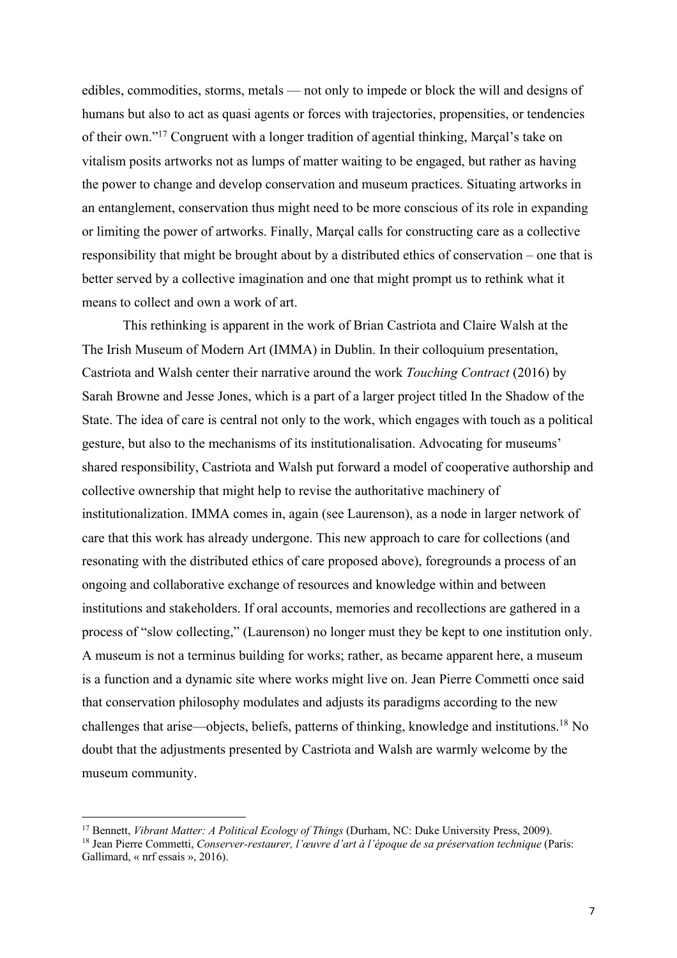edibles, commodities, storms, metals — not only to impede or block the will and designs of humans but also to act as quasi agents or forces with trajectories, propensities, or tendencies of their own."17 Congruent with a longer tradition of agential thinking, Marçal's take on vitalism posits artworks not as lumps of matter waiting to be engaged, but rather as having the power to change and develop conservation and museum practices. Situating artworks in an entanglement, conservation thus might need to be more conscious of its role in expanding or limiting the power of artworks. Finally, Marçal calls for constructing care as a collective responsibility that might be brought about by a distributed ethics of conservation – one that is better served by a collective imagination and one that might prompt us to rethink what it means to collect and own a work of art.

This rethinking is apparent in the work of Brian Castriota and Claire Walsh at the The Irish Museum of Modern Art (IMMA) in Dublin. In their colloquium presentation, Castriota and Walsh center their narrative around the work *Touching Contract* (2016) by Sarah Browne and Jesse Jones, which is a part of a larger project titled In the Shadow of the State. The idea of care is central not only to the work, which engages with touch as a political gesture, but also to the mechanisms of its institutionalisation. Advocating for museums' shared responsibility, Castriota and Walsh put forward a model of cooperative authorship and collective ownership that might help to revise the authoritative machinery of institutionalization. IMMA comes in, again (see Laurenson), as a node in larger network of care that this work has already undergone. This new approach to care for collections (and resonating with the distributed ethics of care proposed above), foregrounds a process of an ongoing and collaborative exchange of resources and knowledge within and between institutions and stakeholders. If oral accounts, memories and recollections are gathered in a process of "slow collecting," (Laurenson) no longer must they be kept to one institution only. A museum is not a terminus building for works; rather, as became apparent here, a museum is a function and a dynamic site where works might live on. Jean Pierre Commetti once said that conservation philosophy modulates and adjusts its paradigms according to the new challenges that arise—objects, beliefs, patterns of thinking, knowledge and institutions.18 No doubt that the adjustments presented by Castriota and Walsh are warmly welcome by the museum community.

<sup>17</sup> Bennett, *Vibrant Matter: A Political Ecology of Things* (Durham, NC: Duke University Press, 2009).

<sup>18</sup> Jean Pierre Commetti, *Conserver-restaurer, l'œuvre d'art à l'époque de sa préservation technique* (Paris: Gallimard, « nrf essais », 2016).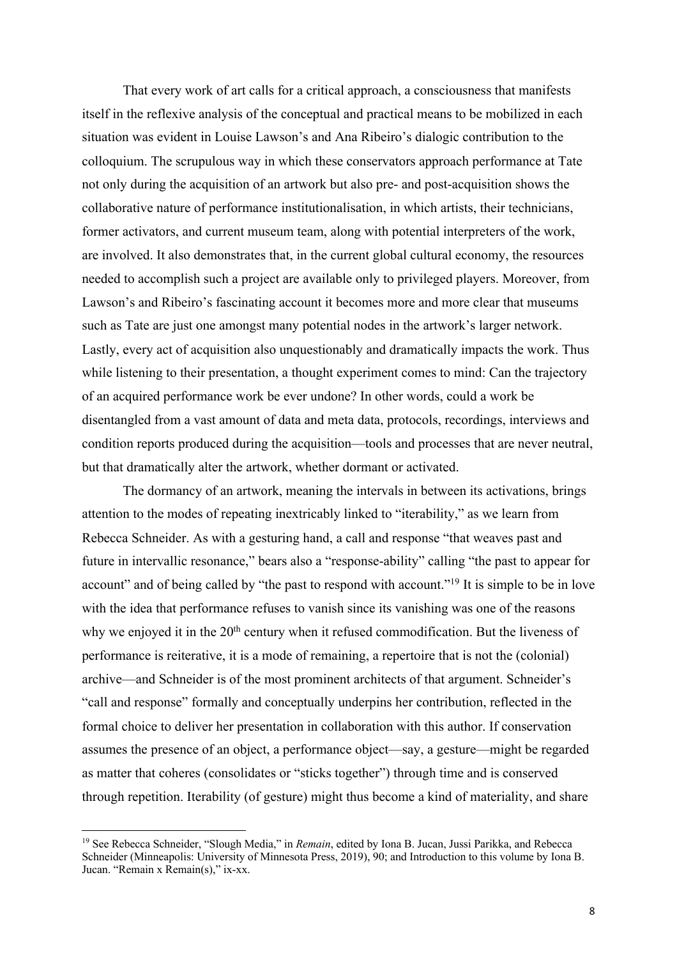That every work of art calls for a critical approach, a consciousness that manifests itself in the reflexive analysis of the conceptual and practical means to be mobilized in each situation was evident in Louise Lawson's and Ana Ribeiro's dialogic contribution to the colloquium. The scrupulous way in which these conservators approach performance at Tate not only during the acquisition of an artwork but also pre- and post-acquisition shows the collaborative nature of performance institutionalisation, in which artists, their technicians, former activators, and current museum team, along with potential interpreters of the work, are involved. It also demonstrates that, in the current global cultural economy, the resources needed to accomplish such a project are available only to privileged players. Moreover, from Lawson's and Ribeiro's fascinating account it becomes more and more clear that museums such as Tate are just one amongst many potential nodes in the artwork's larger network. Lastly, every act of acquisition also unquestionably and dramatically impacts the work. Thus while listening to their presentation, a thought experiment comes to mind: Can the trajectory of an acquired performance work be ever undone? In other words, could a work be disentangled from a vast amount of data and meta data, protocols, recordings, interviews and condition reports produced during the acquisition—tools and processes that are never neutral, but that dramatically alter the artwork, whether dormant or activated.

The dormancy of an artwork, meaning the intervals in between its activations, brings attention to the modes of repeating inextricably linked to "iterability," as we learn from Rebecca Schneider. As with a gesturing hand, a call and response "that weaves past and future in intervallic resonance," bears also a "response-ability" calling "the past to appear for account" and of being called by "the past to respond with account."<sup>19</sup> It is simple to be in love with the idea that performance refuses to vanish since its vanishing was one of the reasons why we enjoyed it in the  $20<sup>th</sup>$  century when it refused commodification. But the liveness of performance is reiterative, it is a mode of remaining, a repertoire that is not the (colonial) archive—and Schneider is of the most prominent architects of that argument. Schneider's "call and response" formally and conceptually underpins her contribution, reflected in the formal choice to deliver her presentation in collaboration with this author. If conservation assumes the presence of an object, a performance object—say, a gesture—might be regarded as matter that coheres (consolidates or "sticks together") through time and is conserved through repetition. Iterability (of gesture) might thus become a kind of materiality, and share

<sup>19</sup> See Rebecca Schneider, "Slough Media," in *Remain*, edited by Iona B. Jucan, Jussi Parikka, and Rebecca Schneider (Minneapolis: University of Minnesota Press, 2019), 90; and Introduction to this volume by Iona B. Jucan. "Remain x Remain(s)," ix-xx.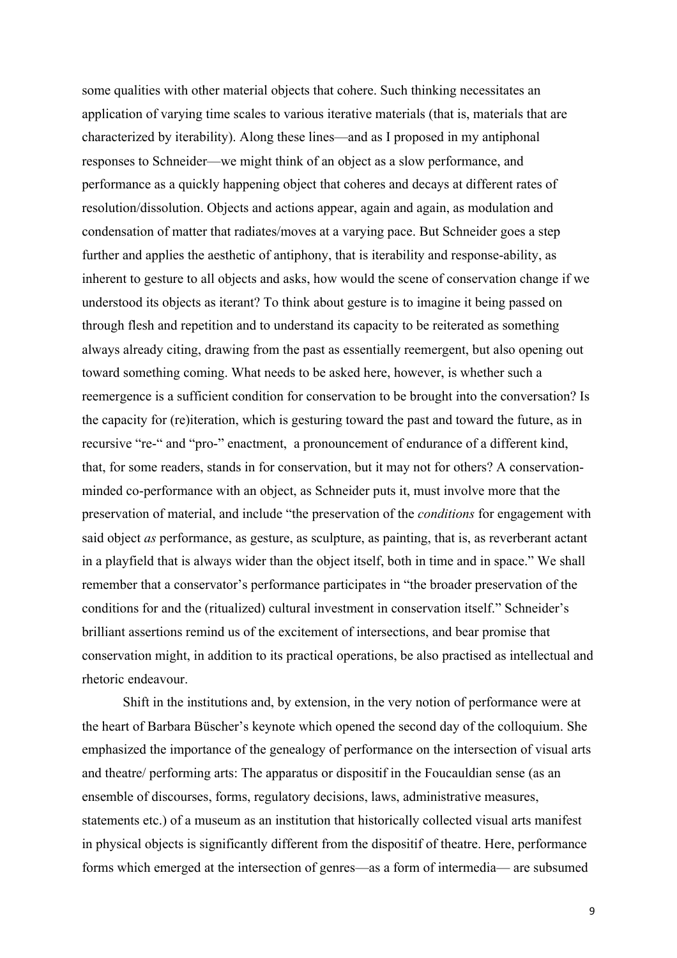some qualities with other material objects that cohere. Such thinking necessitates an application of varying time scales to various iterative materials (that is, materials that are characterized by iterability). Along these lines—and as I proposed in my antiphonal responses to Schneider—we might think of an object as a slow performance, and performance as a quickly happening object that coheres and decays at different rates of resolution/dissolution. Objects and actions appear, again and again, as modulation and condensation of matter that radiates/moves at a varying pace. But Schneider goes a step further and applies the aesthetic of antiphony, that is iterability and response-ability, as inherent to gesture to all objects and asks, how would the scene of conservation change if we understood its objects as iterant? To think about gesture is to imagine it being passed on through flesh and repetition and to understand its capacity to be reiterated as something always already citing, drawing from the past as essentially reemergent, but also opening out toward something coming. What needs to be asked here, however, is whether such a reemergence is a sufficient condition for conservation to be brought into the conversation? Is the capacity for (re)iteration, which is gesturing toward the past and toward the future, as in recursive "re-" and "pro-" enactment, a pronouncement of endurance of a different kind, that, for some readers, stands in for conservation, but it may not for others? A conservationminded co-performance with an object, as Schneider puts it, must involve more that the preservation of material, and include "the preservation of the *conditions* for engagement with said object *as* performance, as gesture, as sculpture, as painting, that is, as reverberant actant in a playfield that is always wider than the object itself, both in time and in space." We shall remember that a conservator's performance participates in "the broader preservation of the conditions for and the (ritualized) cultural investment in conservation itself." Schneider's brilliant assertions remind us of the excitement of intersections, and bear promise that conservation might, in addition to its practical operations, be also practised as intellectual and rhetoric endeavour.

Shift in the institutions and, by extension, in the very notion of performance were at the heart of Barbara Büscher's keynote which opened the second day of the colloquium. She emphasized the importance of the genealogy of performance on the intersection of visual arts and theatre/ performing arts: The apparatus or dispositif in the Foucauldian sense (as an ensemble of discourses, forms, regulatory decisions, laws, administrative measures, statements etc.) of a museum as an institution that historically collected visual arts manifest in physical objects is significantly different from the dispositif of theatre. Here, performance forms which emerged at the intersection of genres—as a form of intermedia— are subsumed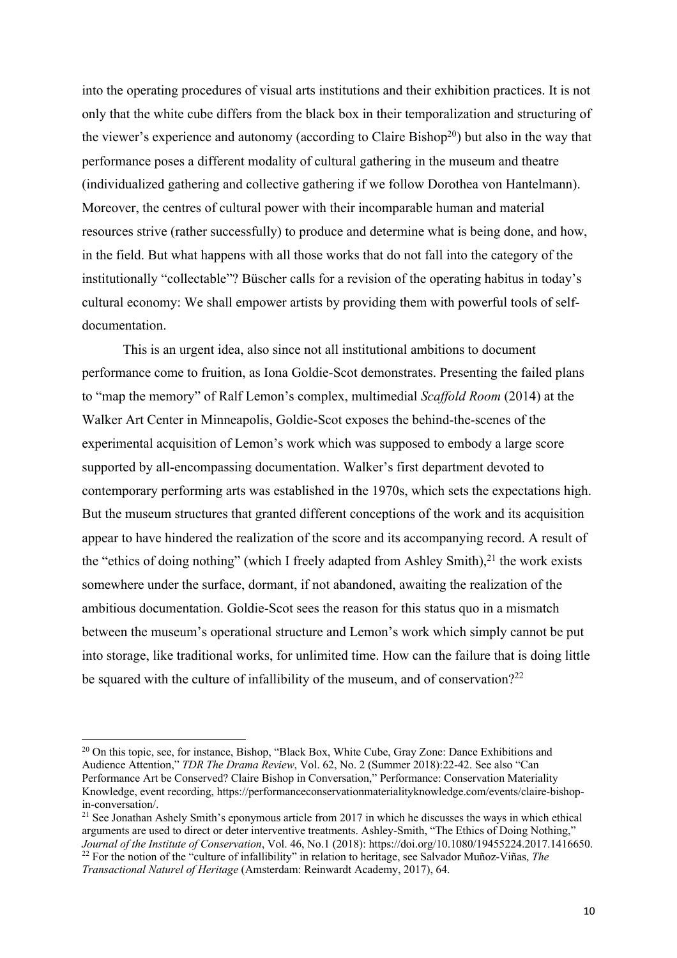into the operating procedures of visual arts institutions and their exhibition practices. It is not only that the white cube differs from the black box in their temporalization and structuring of the viewer's experience and autonomy (according to Claire Bishop<sup>20</sup>) but also in the way that performance poses a different modality of cultural gathering in the museum and theatre (individualized gathering and collective gathering if we follow Dorothea von Hantelmann). Moreover, the centres of cultural power with their incomparable human and material resources strive (rather successfully) to produce and determine what is being done, and how, in the field. But what happens with all those works that do not fall into the category of the institutionally "collectable"? Büscher calls for a revision of the operating habitus in today's cultural economy: We shall empower artists by providing them with powerful tools of selfdocumentation.

This is an urgent idea, also since not all institutional ambitions to document performance come to fruition, as Iona Goldie-Scot demonstrates. Presenting the failed plans to "map the memory" of Ralf Lemon's complex, multimedial *Scaffold Room* (2014) at the Walker Art Center in Minneapolis, Goldie-Scot exposes the behind-the-scenes of the experimental acquisition of Lemon's work which was supposed to embody a large score supported by all-encompassing documentation. Walker's first department devoted to contemporary performing arts was established in the 1970s, which sets the expectations high. But the museum structures that granted different conceptions of the work and its acquisition appear to have hindered the realization of the score and its accompanying record. A result of the "ethics of doing nothing" (which I freely adapted from Ashley Smith), $21$  the work exists somewhere under the surface, dormant, if not abandoned, awaiting the realization of the ambitious documentation. Goldie-Scot sees the reason for this status quo in a mismatch between the museum's operational structure and Lemon's work which simply cannot be put into storage, like traditional works, for unlimited time. How can the failure that is doing little be squared with the culture of infallibility of the museum, and of conservation?<sup>22</sup>

<sup>&</sup>lt;sup>20</sup> On this topic, see, for instance, Bishop, "Black Box, White Cube, Gray Zone: Dance Exhibitions and Audience Attention," *TDR The Drama Review*, Vol. 62, No. 2 (Summer 2018):22-42. See also "Can Performance Art be Conserved? Claire Bishop in Conversation," Performance: Conservation Materiality Knowledge, event recording, https://performanceconservationmaterialityknowledge.com/events/claire-bishopin-conversation/.

<sup>&</sup>lt;sup>21</sup> See Jonathan Ashely Smith's eponymous article from 2017 in which he discusses the ways in which ethical arguments are used to direct or deter interventive treatments. Ashley-Smith, "The Ethics of Doing Nothing," *Journal of the Institute of Conservation*, Vol. 46, No.1 (2018): https://doi.org/10.1080/19455224.2017.1416650. <sup>22</sup> For the notion of the "culture of infallibility" in relation to heritage, see Salvador Muñoz-Viñas, *The* 

*Transactional Naturel of Heritage* (Amsterdam: Reinwardt Academy, 2017), 64.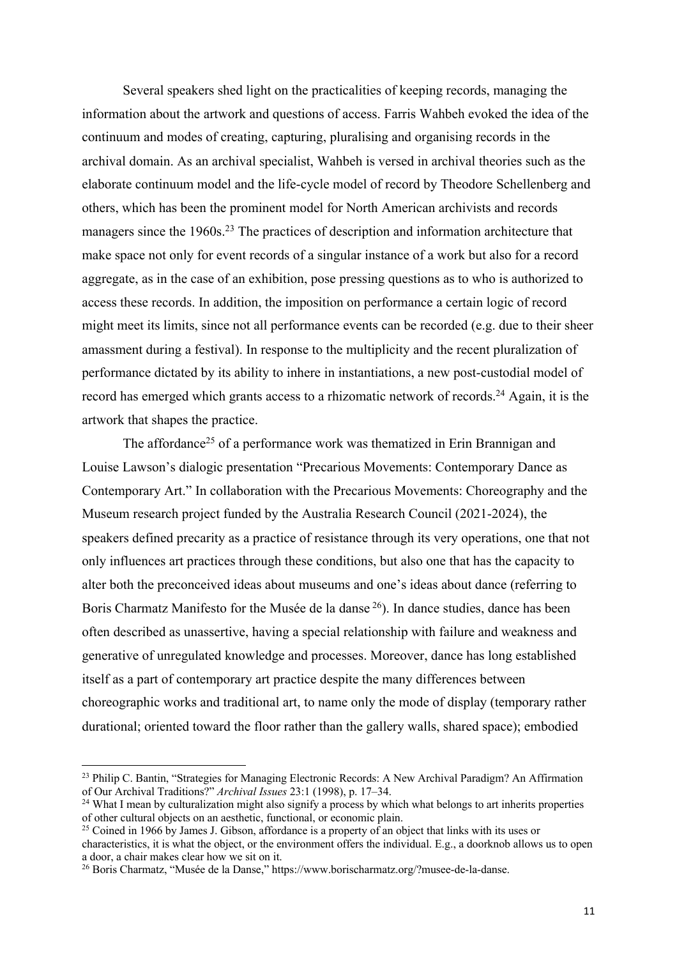Several speakers shed light on the practicalities of keeping records, managing the information about the artwork and questions of access. Farris Wahbeh evoked the idea of the continuum and modes of creating, capturing, pluralising and organising records in the archival domain. As an archival specialist, Wahbeh is versed in archival theories such as the elaborate continuum model and the life-cycle model of record by Theodore Schellenberg and others, which has been the prominent model for North American archivists and records managers since the 1960s.<sup>23</sup> The practices of description and information architecture that make space not only for event records of a singular instance of a work but also for a record aggregate, as in the case of an exhibition, pose pressing questions as to who is authorized to access these records. In addition, the imposition on performance a certain logic of record might meet its limits, since not all performance events can be recorded (e.g. due to their sheer amassment during a festival). In response to the multiplicity and the recent pluralization of performance dictated by its ability to inhere in instantiations, a new post-custodial model of record has emerged which grants access to a rhizomatic network of records.<sup>24</sup> Again, it is the artwork that shapes the practice.

The affordance<sup>25</sup> of a performance work was thematized in Erin Brannigan and Louise Lawson's dialogic presentation "Precarious Movements: Contemporary Dance as Contemporary Art." In collaboration with the Precarious Movements: Choreography and the Museum research project funded by the Australia Research Council (2021-2024), the speakers defined precarity as a practice of resistance through its very operations, one that not only influences art practices through these conditions, but also one that has the capacity to alter both the preconceived ideas about museums and one's ideas about dance (referring to Boris Charmatz Manifesto for the Musée de la danse <sup>26</sup>). In dance studies, dance has been often described as unassertive, having a special relationship with failure and weakness and generative of unregulated knowledge and processes. Moreover, dance has long established itself as a part of contemporary art practice despite the many differences between choreographic works and traditional art, to name only the mode of display (temporary rather durational; oriented toward the floor rather than the gallery walls, shared space); embodied

<sup>&</sup>lt;sup>23</sup> Philip C. Bantin, "Strategies for Managing Electronic Records: A New Archival Paradigm? An Affirmation of Our Archival Traditions?" *Archival Issues* 23:1 (1998), p. 17–34.

<sup>&</sup>lt;sup>24</sup> What I mean by culturalization might also signify a process by which what belongs to art inherits properties of other cultural objects on an aesthetic, functional, or economic plain.

<sup>&</sup>lt;sup>25</sup> Coined in 1966 by James J. Gibson, affordance is a property of an object that links with its uses or characteristics, it is what the object, or the environment offers the individual. E.g., a doorknob allows us to open a door, a chair makes clear how we sit on it.

<sup>26</sup> Boris Charmatz, "Musée de la Danse," https://www.borischarmatz.org/?musee-de-la-danse.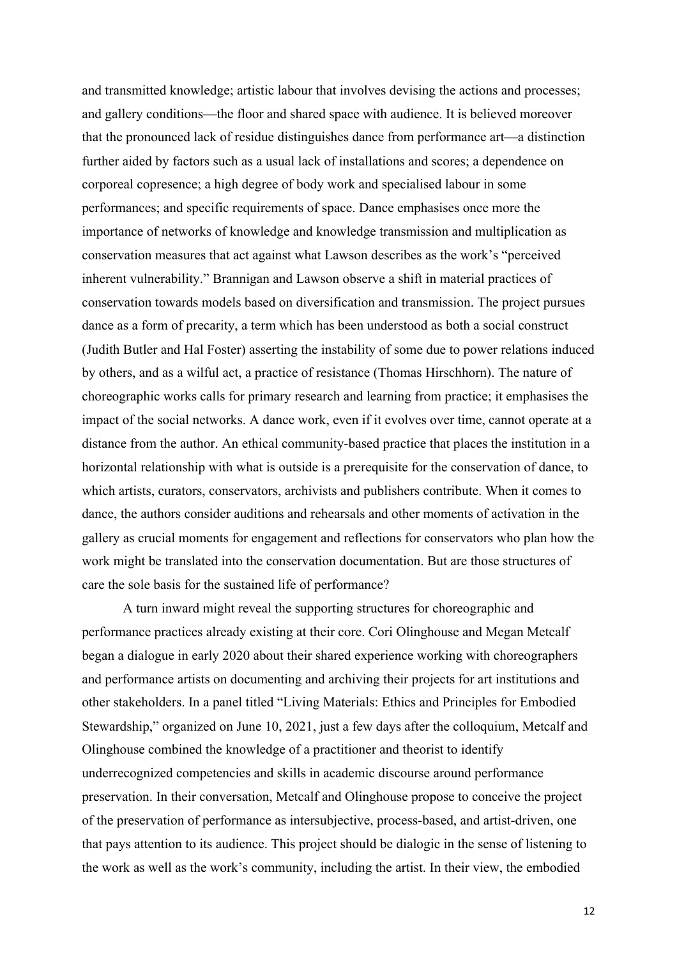and transmitted knowledge; artistic labour that involves devising the actions and processes; and gallery conditions—the floor and shared space with audience. It is believed moreover that the pronounced lack of residue distinguishes dance from performance art—a distinction further aided by factors such as a usual lack of installations and scores; a dependence on corporeal copresence; a high degree of body work and specialised labour in some performances; and specific requirements of space. Dance emphasises once more the importance of networks of knowledge and knowledge transmission and multiplication as conservation measures that act against what Lawson describes as the work's "perceived inherent vulnerability." Brannigan and Lawson observe a shift in material practices of conservation towards models based on diversification and transmission. The project pursues dance as a form of precarity, a term which has been understood as both a social construct (Judith Butler and Hal Foster) asserting the instability of some due to power relations induced by others, and as a wilful act, a practice of resistance (Thomas Hirschhorn). The nature of choreographic works calls for primary research and learning from practice; it emphasises the impact of the social networks. A dance work, even if it evolves over time, cannot operate at a distance from the author. An ethical community-based practice that places the institution in a horizontal relationship with what is outside is a prerequisite for the conservation of dance, to which artists, curators, conservators, archivists and publishers contribute. When it comes to dance, the authors consider auditions and rehearsals and other moments of activation in the gallery as crucial moments for engagement and reflections for conservators who plan how the work might be translated into the conservation documentation. But are those structures of care the sole basis for the sustained life of performance?

A turn inward might reveal the supporting structures for choreographic and performance practices already existing at their core. Cori Olinghouse and Megan Metcalf began a dialogue in early 2020 about their shared experience working with choreographers and performance artists on documenting and archiving their projects for art institutions and other stakeholders. In a panel titled "Living Materials: Ethics and Principles for Embodied Stewardship," organized on June 10, 2021, just a few days after the colloquium, Metcalf and Olinghouse combined the knowledge of a practitioner and theorist to identify underrecognized competencies and skills in academic discourse around performance preservation. In their conversation, Metcalf and Olinghouse propose to conceive the project of the preservation of performance as intersubjective, process-based, and artist-driven, one that pays attention to its audience. This project should be dialogic in the sense of listening to the work as well as the work's community, including the artist. In their view, the embodied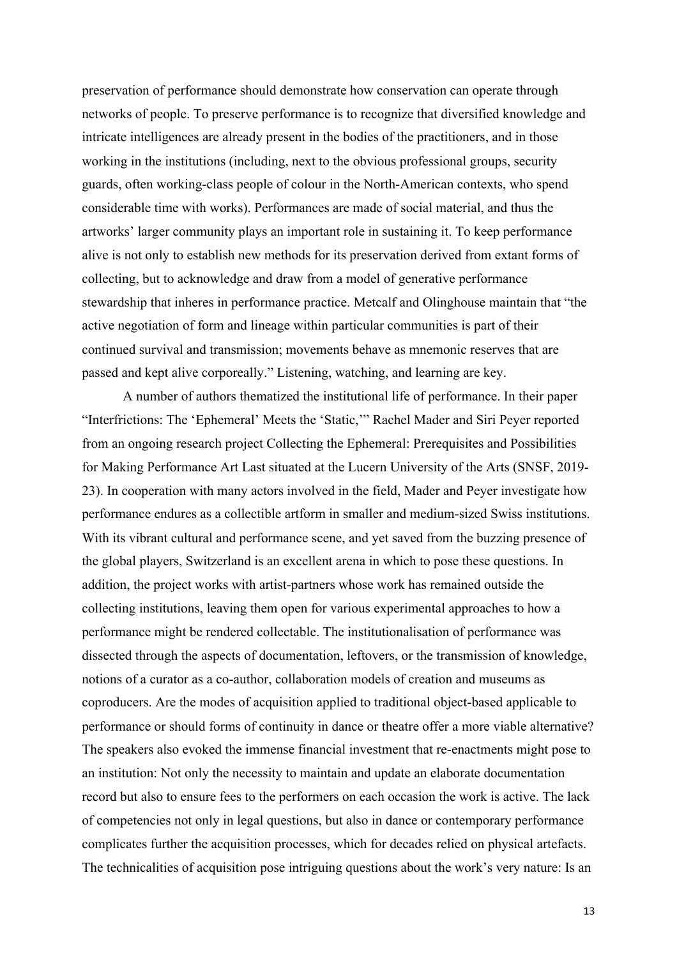preservation of performance should demonstrate how conservation can operate through networks of people. To preserve performance is to recognize that diversified knowledge and intricate intelligences are already present in the bodies of the practitioners, and in those working in the institutions (including, next to the obvious professional groups, security guards, often working-class people of colour in the North-American contexts, who spend considerable time with works). Performances are made of social material, and thus the artworks' larger community plays an important role in sustaining it. To keep performance alive is not only to establish new methods for its preservation derived from extant forms of collecting, but to acknowledge and draw from a model of generative performance stewardship that inheres in performance practice. Metcalf and Olinghouse maintain that "the active negotiation of form and lineage within particular communities is part of their continued survival and transmission; movements behave as mnemonic reserves that are passed and kept alive corporeally." Listening, watching, and learning are key.

A number of authors thematized the institutional life of performance. In their paper "Interfrictions: The 'Ephemeral' Meets the 'Static,'" Rachel Mader and Siri Peyer reported from an ongoing research project Collecting the Ephemeral: Prerequisites and Possibilities for Making Performance Art Last situated at the Lucern University of the Arts (SNSF, 2019- 23). In cooperation with many actors involved in the field, Mader and Peyer investigate how performance endures as a collectible artform in smaller and medium-sized Swiss institutions. With its vibrant cultural and performance scene, and yet saved from the buzzing presence of the global players, Switzerland is an excellent arena in which to pose these questions. In addition, the project works with artist-partners whose work has remained outside the collecting institutions, leaving them open for various experimental approaches to how a performance might be rendered collectable. The institutionalisation of performance was dissected through the aspects of documentation, leftovers, or the transmission of knowledge, notions of a curator as a co-author, collaboration models of creation and museums as coproducers. Are the modes of acquisition applied to traditional object-based applicable to performance or should forms of continuity in dance or theatre offer a more viable alternative? The speakers also evoked the immense financial investment that re-enactments might pose to an institution: Not only the necessity to maintain and update an elaborate documentation record but also to ensure fees to the performers on each occasion the work is active. The lack of competencies not only in legal questions, but also in dance or contemporary performance complicates further the acquisition processes, which for decades relied on physical artefacts. The technicalities of acquisition pose intriguing questions about the work's very nature: Is an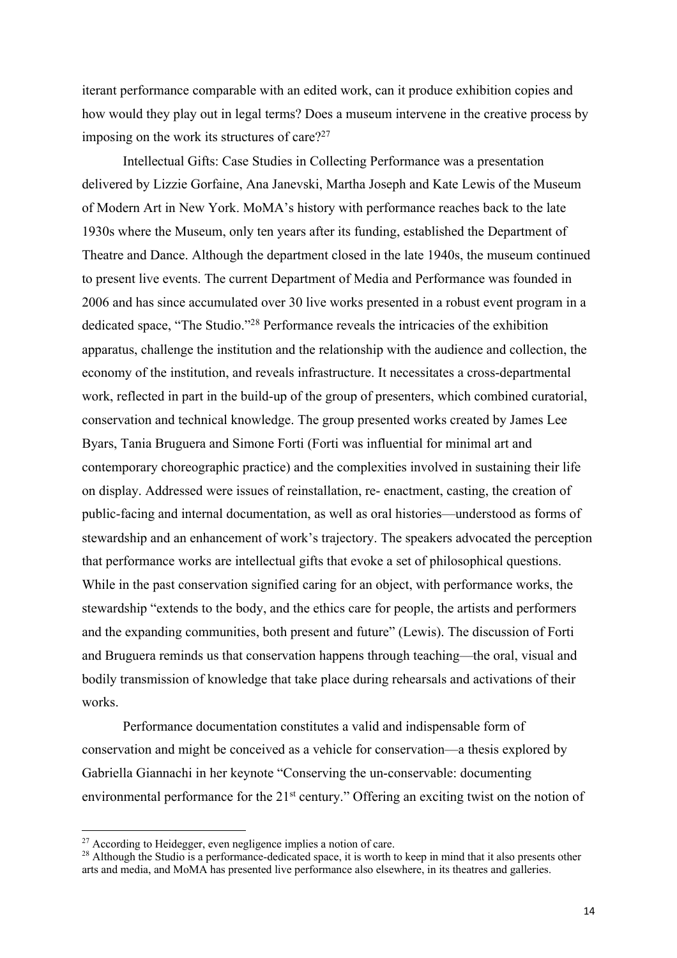iterant performance comparable with an edited work, can it produce exhibition copies and how would they play out in legal terms? Does a museum intervene in the creative process by imposing on the work its structures of care? $27$ 

Intellectual Gifts: Case Studies in Collecting Performance was a presentation delivered by Lizzie Gorfaine, Ana Janevski, Martha Joseph and Kate Lewis of the Museum of Modern Art in New York. MoMA's history with performance reaches back to the late 1930s where the Museum, only ten years after its funding, established the Department of Theatre and Dance. Although the department closed in the late 1940s, the museum continued to present live events. The current Department of Media and Performance was founded in 2006 and has since accumulated over 30 live works presented in a robust event program in a dedicated space, "The Studio."28 Performance reveals the intricacies of the exhibition apparatus, challenge the institution and the relationship with the audience and collection, the economy of the institution, and reveals infrastructure. It necessitates a cross-departmental work, reflected in part in the build-up of the group of presenters, which combined curatorial, conservation and technical knowledge. The group presented works created by James Lee Byars, Tania Bruguera and Simone Forti (Forti was influential for minimal art and contemporary choreographic practice) and the complexities involved in sustaining their life on display. Addressed were issues of reinstallation, re- enactment, casting, the creation of public-facing and internal documentation, as well as oral histories—understood as forms of stewardship and an enhancement of work's trajectory. The speakers advocated the perception that performance works are intellectual gifts that evoke a set of philosophical questions. While in the past conservation signified caring for an object, with performance works, the stewardship "extends to the body, and the ethics care for people, the artists and performers and the expanding communities, both present and future" (Lewis). The discussion of Forti and Bruguera reminds us that conservation happens through teaching—the oral, visual and bodily transmission of knowledge that take place during rehearsals and activations of their works.

Performance documentation constitutes a valid and indispensable form of conservation and might be conceived as a vehicle for conservation—a thesis explored by Gabriella Giannachi in her keynote "Conserving the un-conservable: documenting environmental performance for the  $21<sup>st</sup>$  century." Offering an exciting twist on the notion of

<sup>&</sup>lt;sup>27</sup> According to Heidegger, even negligence implies a notion of care.

<sup>&</sup>lt;sup>28</sup> Although the Studio is a performance-dedicated space, it is worth to keep in mind that it also presents other arts and media, and MoMA has presented live performance also elsewhere, in its theatres and galleries.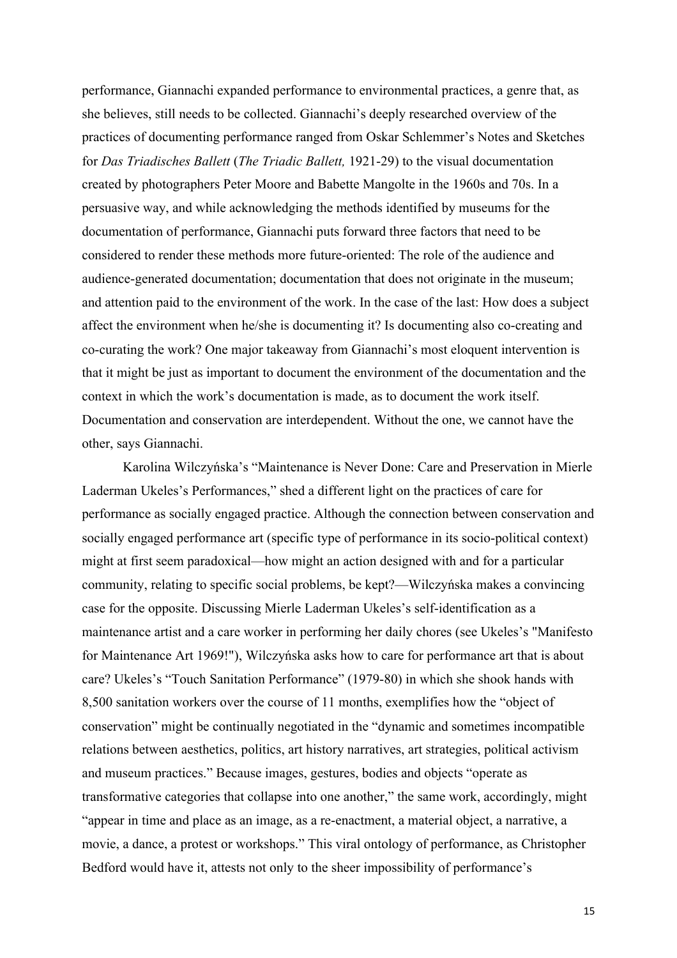performance, Giannachi expanded performance to environmental practices, a genre that, as she believes, still needs to be collected. Giannachi's deeply researched overview of the practices of documenting performance ranged from Oskar Schlemmer's Notes and Sketches for *Das Triadisches Ballett* (*The Triadic Ballett,* 1921-29) to the visual documentation created by photographers Peter Moore and Babette Mangolte in the 1960s and 70s. In a persuasive way, and while acknowledging the methods identified by museums for the documentation of performance, Giannachi puts forward three factors that need to be considered to render these methods more future-oriented: The role of the audience and audience-generated documentation; documentation that does not originate in the museum; and attention paid to the environment of the work. In the case of the last: How does a subject affect the environment when he/she is documenting it? Is documenting also co-creating and co-curating the work? One major takeaway from Giannachi's most eloquent intervention is that it might be just as important to document the environment of the documentation and the context in which the work's documentation is made, as to document the work itself. Documentation and conservation are interdependent. Without the one, we cannot have the other, says Giannachi.

Karolina Wilczyńska's "Maintenance is Never Done: Care and Preservation in Mierle Laderman Ukeles's Performances," shed a different light on the practices of care for performance as socially engaged practice. Although the connection between conservation and socially engaged performance art (specific type of performance in its socio-political context) might at first seem paradoxical—how might an action designed with and for a particular community, relating to specific social problems, be kept?—Wilczyńska makes a convincing case for the opposite. Discussing Mierle Laderman Ukeles's self-identification as a maintenance artist and a care worker in performing her daily chores (see Ukeles's "Manifesto for Maintenance Art 1969!"), Wilczyńska asks how to care for performance art that is about care? Ukeles's "Touch Sanitation Performance" (1979-80) in which she shook hands with 8,500 sanitation workers over the course of 11 months, exemplifies how the "object of conservation" might be continually negotiated in the "dynamic and sometimes incompatible relations between aesthetics, politics, art history narratives, art strategies, political activism and museum practices." Because images, gestures, bodies and objects "operate as transformative categories that collapse into one another," the same work, accordingly, might "appear in time and place as an image, as a re-enactment, a material object, a narrative, a movie, a dance, a protest or workshops." This viral ontology of performance, as Christopher Bedford would have it, attests not only to the sheer impossibility of performance's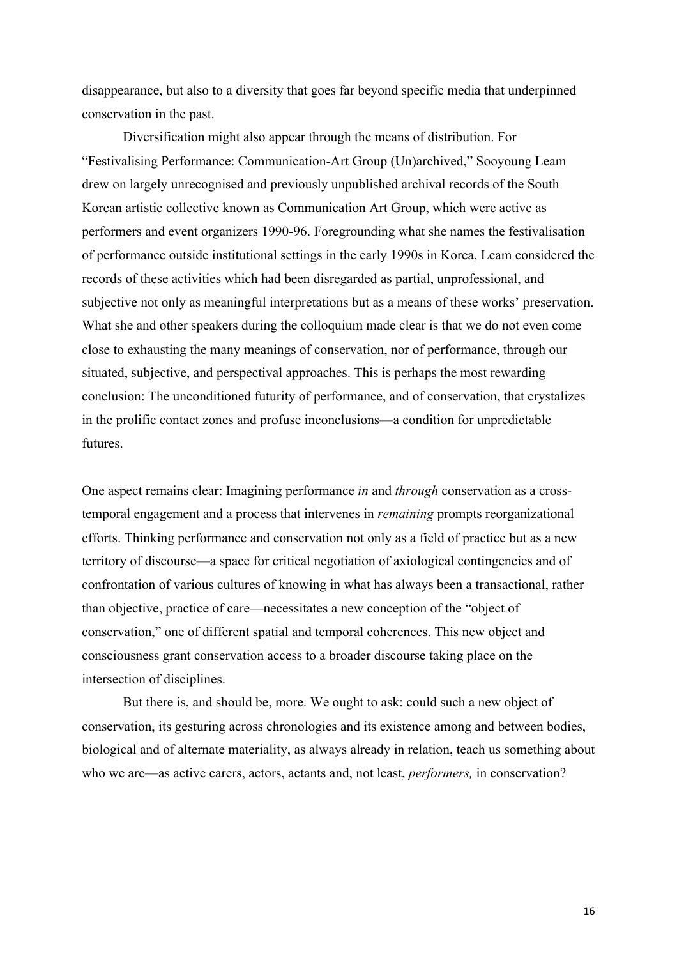disappearance, but also to a diversity that goes far beyond specific media that underpinned conservation in the past.

Diversification might also appear through the means of distribution. For "Festivalising Performance: Communication-Art Group (Un)archived," Sooyoung Leam drew on largely unrecognised and previously unpublished archival records of the South Korean artistic collective known as Communication Art Group, which were active as performers and event organizers 1990-96. Foregrounding what she names the festivalisation of performance outside institutional settings in the early 1990s in Korea, Leam considered the records of these activities which had been disregarded as partial, unprofessional, and subjective not only as meaningful interpretations but as a means of these works' preservation. What she and other speakers during the colloquium made clear is that we do not even come close to exhausting the many meanings of conservation, nor of performance, through our situated, subjective, and perspectival approaches. This is perhaps the most rewarding conclusion: The unconditioned futurity of performance, and of conservation, that crystalizes in the prolific contact zones and profuse inconclusions—a condition for unpredictable futures.

One aspect remains clear: Imagining performance *in* and *through* conservation as a crosstemporal engagement and a process that intervenes in *remaining* prompts reorganizational efforts. Thinking performance and conservation not only as a field of practice but as a new territory of discourse—a space for critical negotiation of axiological contingencies and of confrontation of various cultures of knowing in what has always been a transactional, rather than objective, practice of care—necessitates a new conception of the "object of conservation," one of different spatial and temporal coherences. This new object and consciousness grant conservation access to a broader discourse taking place on the intersection of disciplines.

But there is, and should be, more. We ought to ask: could such a new object of conservation, its gesturing across chronologies and its existence among and between bodies, biological and of alternate materiality, as always already in relation, teach us something about who we are—as active carers, actors, actants and, not least, *performers,* in conservation?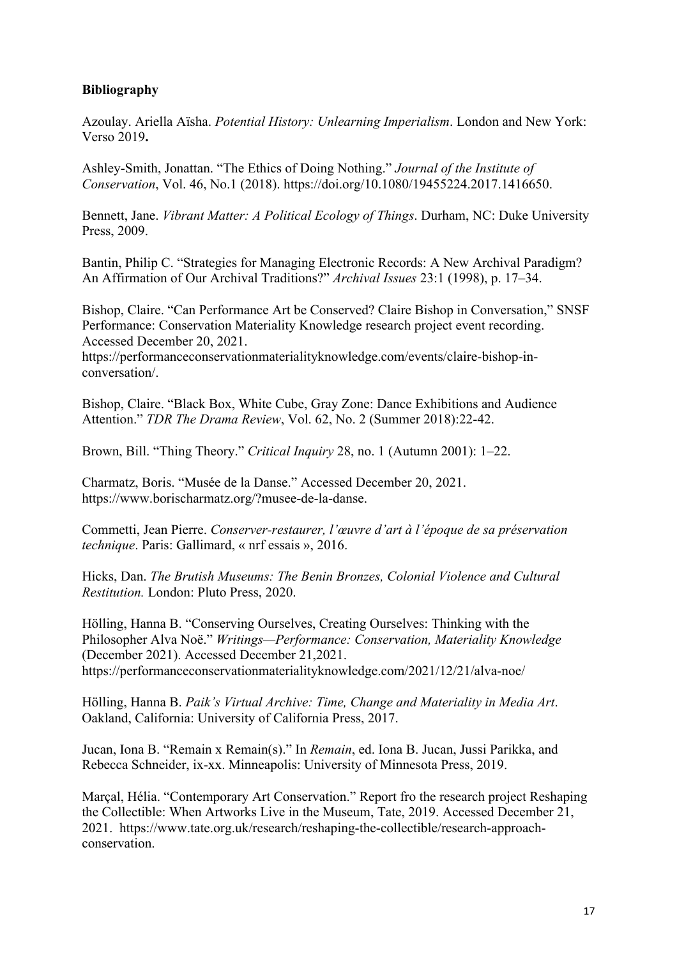## **Bibliography**

Azoulay. Ariella Aïsha. *Potential History: Unlearning Imperialism*. London and New York: Verso 2019**.** 

Ashley-Smith, Jonattan. "The Ethics of Doing Nothing." *Journal of the Institute of Conservation*, Vol. 46, No.1 (2018). https://doi.org/10.1080/19455224.2017.1416650.

Bennett, Jane. *Vibrant Matter: A Political Ecology of Things*. Durham, NC: Duke University Press, 2009.

Bantin, Philip C. "Strategies for Managing Electronic Records: A New Archival Paradigm? An Affirmation of Our Archival Traditions?" *Archival Issues* 23:1 (1998), p. 17–34.

Bishop, Claire. "Can Performance Art be Conserved? Claire Bishop in Conversation," SNSF Performance: Conservation Materiality Knowledge research project event recording. Accessed December 20, 2021.

https://performanceconservationmaterialityknowledge.com/events/claire-bishop-inconversation/.

Bishop, Claire. "Black Box, White Cube, Gray Zone: Dance Exhibitions and Audience Attention." *TDR The Drama Review*, Vol. 62, No. 2 (Summer 2018):22-42.

Brown, Bill. "Thing Theory." *Critical Inquiry* 28, no. 1 (Autumn 2001): 1–22.

Charmatz, Boris. "Musée de la Danse." Accessed December 20, 2021. https://www.borischarmatz.org/?musee-de-la-danse.

Commetti, Jean Pierre. *Conserver-restaurer, l'œuvre d'art à l'époque de sa préservation technique*. Paris: Gallimard, « nrf essais », 2016.

Hicks, Dan. *The Brutish Museums: The Benin Bronzes, Colonial Violence and Cultural Restitution.* London: Pluto Press, 2020.

Hölling, Hanna B. "Conserving Ourselves, Creating Ourselves: Thinking with the Philosopher Alva Noë." *Writings—Performance: Conservation, Materiality Knowledge* (December 2021). Accessed December 21,2021. https://performanceconservationmaterialityknowledge.com/2021/12/21/alva-noe/

Hölling, Hanna B. *Paik's Virtual Archive: Time, Change and Materiality in Media Art*. Oakland, California: University of California Press, 2017.

Jucan, Iona B. "Remain x Remain(s)." In *Remain*, ed. Iona B. Jucan, Jussi Parikka, and Rebecca Schneider, ix-xx. Minneapolis: University of Minnesota Press, 2019.

Marçal, Hélia. "Contemporary Art Conservation." Report fro the research project Reshaping the Collectible: When Artworks Live in the Museum, Tate, 2019. Accessed December 21, 2021. https://www.tate.org.uk/research/reshaping-the-collectible/research-approachconservation.